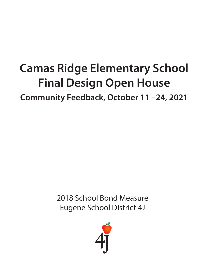## **Camas Ridge Elementary School Final Design Open House**

**Community Feedback, October 11 –24, 2021**

2018 School Bond Measure Eugene School District 4J

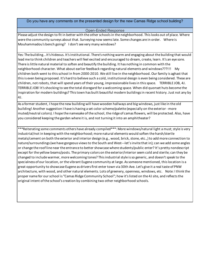Do you have any comments on the presented design for the new Camas Ridge school building?

## Open-Ended Response

Please adjust the design to fit in better with the other schools in the neighborhood. This looks out of place. Where were the community surveys about that. Surveying now seems late. Some changes are in order. Where is Mouhammadou's bench going? I don't see very many windows?

Yes: The building...It's hideous. It's institutional. There's nothing warm and engaging about the building that would lead me to think children and teachers will feel excited and encouraged to dream, create, learn. It's an eye sore. There is little natural material to soften and beautify the building. It has nothing in common with the neighborhood character. What about earlier feedback regarding natural elements and windows???!!! My children both went to this school in from 2000-2010. We still live in the neighborhood. Our family is aghast that this is even being proposed. It's hard to believe such a cold, institutional design is even being considered. These are children, not robots, that will spend years of their young, impressionable lives in this space. TERRIBLE JOB, 4J. TERRIBLE JOB! It's shocking to see the total disregard for a welcoming space. When did quonset huts become the inspiration for modern buildings? This town has built beautiful modern buildings in recent history. Just not any by 4J.

As a former student, I hope the new building will have wooden hallways and big windows, just like in the old building! Another suggestion I have is having a set color scheme/palette (especially on the exterior - more muted/neutral colors). I hope the namesake of the school, the ridge of camas flowers, will be protected. Also, have you considered keeping the garden where it is, and not turning it into an amphitheater?

\*\*\*Reiterating some comments others have already compiled\*\*\*: More windows/natural light a must; style is very industrial/not in keeping with the neighborhood; more natural elements would soften the harsh/sterile metals/cement on both the exterior and interior design (e.g., wood, brick, stone, etc.,) to add more connection to nature/surroundings (we have gorgeous views to the South and West---let's invite that in); can we add some angles or change the roof line near the entrance to better showcase where students/public enter? It's pretty nondescript except for the yellow beams/posts. The primary colors on the exterior/interior seem cold and sterile; can they be changed to include warmer, more welcoming tones? This industrial style is so generic, and doesn't speak to the specialness of our location, or the vibrant Eugene community at large. As someone mentioned, this location is a great opportunity to showcase Eugene as drivers first enter town via 30th Ave. Let's give it a real taste of PNW architecture, with wood, and other natural elements. Lots of greenery, openness, windows, etc. Note: I think the proper name for our school is "Camas Ridge Community School"; how it's listed on the 4J site, and reflects the original intent of the school's creation by combining two other neighborhood schools.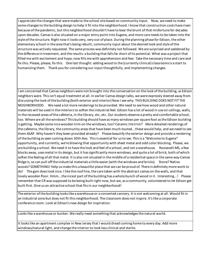I appreciate the changes that were made to the school site based on community input. Now, we need to make some changes to the building design to help it fit into the neighborhood. I know that construction costs have risen because of the pandemic, but this neighborhood shouldn't have to bear the brunt of that misfortune for decades upon decades. Camas is also situated on a major entry point into Eugene, and more care needs to be taken into the style of the structure. Right now it looks very, very out of place. During the planning phase for Edison, the other elementary school in the area that's being rebuilt, community input about the desired look and style of the structure was actively requested. The same process was definitely not followed. We are surprised and saddened by the difference in treatment, and the results: a building that falls far short of its potential. What was a project that filled me with excitement and hope, now fills me with apprehension and fear. Take the necessary time and care and fix this. Please, please, fix this. One last thought: adding wood to the (currently clinical) classrooms is a start to humanizing them. Thank you for considering our input thoughtfully, and implementing changes.

I am concerned that Camas neighbors were not brought into the conversation on the look of the building, as Edison neighbors were. This isn't equal treatment at all. In earlier Camas design talks, we were expressly steered away from discussing the look of the building (both exterior and interior) Now I see why. THIS BUILDING DOES NOT FIT THE NEIGHBORHOOD. We need a lot more renderings to be provided. We need to see how wood and other natural materials will be used in the interiors to soften the industrial feel. Edison has a lot of wood in use on ceilings, walls, in the recessed areas of the cafeteria, in the library, etc, etc. Our students deserve a pretty and comfortable school, too. Where are all the windows? This building should have as many windows per square foot as the Edison building is getting. Maybe some nice wooden trim on the windows, too? Ceramic tile trim? More detailed renderings of the cafeteria, the library, the community areas that have been much-touted...these would help, and we need to see them ASAP. Why haven't they been provided already? Please beautify the exterior design and provide a rendering of the building as seen coming down 30th Ave. This is essential for us to see. This is a "Welcome to Eugene" opportunity, and currently, we're blowing that opportunity with sheet metal and odd color blocking. Please, we are building a school. We need it to have the look and feel of a school, and not a warehouse. Roosevelt MS, a few blocks away, uses metal in its design, but it has significantly more windows, and quite a lot of brick, both of which soften the feeling of all that metal. It is also not situated in the middle of a residential space in the same way Camas Ridge is, so can pull off the industrial materials a little easier (with the windows and bricks). Stone? Native woods? SOMETHING! Help us make this a beautiful place that we can be proud of. There is definitely more work to do! The gym does look nice. I like the roof line, the care taken with the abstract camas on the walls, and that lovely wooden floor. Hmm...the nicest part of the building has a whole bunch of wood in it. Interesting...! Please remember that CR was supposed to be being built right now, but we, as a community, volunteered to let Edison get built first. Give us an attractive school that fits in our neighborhood!

The exterior of the building looks like a warehouse or a converted cannery. It is not welcoming at all. Would fit in an industrial zone but does not fit this neighborhood. The classroom does not inspire. It's like a corporate conference room. Look at Edison's new design for inspiration.

Looks like a warehouse or bunker. We really need something that acknowledges the natural world.

It looks like an apartment complex in New Jersey that I would dread coming home to every day. Add more windows/natural light, and change the interior to look less clinical and sterile.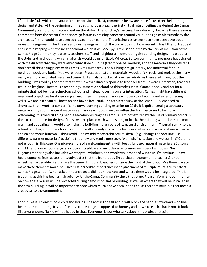I find little fault with the layout of the school site itself. My comments below are more focused on the building design and style. At the beginning of this design process (e.g., the first virtual mtg unveiling the design) the Camas Community was told not to comment on the style of the building/structure. I wonder why, because there are many comments from the recent October design forum expressing concerns around various design choices made by the architects/4j that could have been addressed much earlier. The existing design seems to have been developed more with engineering for the site and cost savings in mind. The current design lacks warmth, has little curb appeal and isn't in keeping with the neighborhood which it will occupy. I'm disappointed by the lack of inclusion of the Camas Ridge Community (parents, teachers, staff, and neighbors) in developing the building design, in particular the style, and in choosing which materials would be prioritized. Whereas Edison community members have shared with me directly that they were asked what style building (traditional vs. modern) and the materials they desired I don't recall this taking place with Camas. Am I mistaken? The building design is stark, too industrial for our neighborhood, and looks like a warehouse. Please add natural materials: wood, brick, rock, and replace the many many walls of corrugated metal and cement. I am also shocked at how few windows there are throughout the building. I was told by the architect that this was in direct response to feedback from Howard Elementary teachers troubled by glare. Howard is a technology immersion school so this makes sense. Camas is not. Consider for a minute that not being a technology school and instead focusing on arts integration, Camas might have different needs and objectives for its learning environment. Please add more windows to all rooms and exterior facing walls. We are in a beautiful location and have a beautiful, unobstructed view of the South Hills. We need to showcase that. Another concern is the unwelcoming building exterior on 29th. It is quite literally a two story metal wall. By adding natural materials and more windows, we can soften this harsh exterior to be more welcoming. It is the first thing people see when visiting the campus. I'm not excited by the use of primary colors in the exterior or interior design. If these were replaced with wood siding or brick, the building would be much more warm and appealing. It would also make the building more a part of its natural environment. The main entry to the school building should be a focal point. Currently its only discerning features are two yellow vertical metal beams and an enormous blue wall. This is cold. Can we add more architectural detail (e.g., change the roof line, use different/warmer materials) to define the entry and send a message of warmth, invitation and welcoming? Color is not enough in this case. One nice example of a welcoming entry with beautiful use of natural materials is Edison's arch! The Edison school design also looks incredible and includes an enormous number of windows! North Eugene's renderings also include two story tall windows, and whole walls made of windows. I'm envious. I have heard concerns from accessibility advocates that the front lobby (in particular the cement bleachers) is not wheelchair accessible. Neither are the cement circular bleachers outside the front of the school. Are there ways to make these elements more inclusive? Of incredible importance is the placement of multiple murals currently at Camas Ridge school. When asked, the architects did not know how and where these would be integrated. This is troubling as this has been a high priority for the Camas Community since the get go. Please inform the community on how these murals will be protected during demolition and rebuilding, as well as where they will be installed in the new building. It will be important to note which murals have been identified, as there are multiple that mean a great deal to the community.

I don't like it. I think it looks cold and boring. The roof is too tall and it will block the people's windows who live behind other building. It's not friendly, camas ridge is supposed to homely and down to earth, that is not. It looks like a warehouse. No kid will be happy in that. Everyone I know who talks about this project hates it.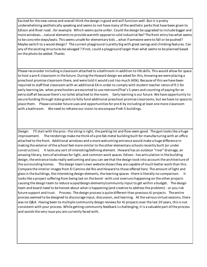Excited for the new camas and overall think the design is good and will function well. But it is pretty underwhelming aesthetically speaking and seems to not have many of the aesthetic perks that have been given to Edison and River road ..for example. Which seems quite unfair. Could the design be upgraded to include bigger and more windows …natural elements to provide warmth oppose to cold industrial fee? The front entry has what seems to be concrete steps/seats. This seems unsafe for elementary kids …what if someone were to fall or be pushed? Maybe switch to a wood design? The current playground is pretty big with great swings and climbing features. Can any of the existing structures be salvaged ? If not, could a playground larger than what seems to be planned based on the photo be added. Thanks

Please reconsider including a classroom attached to a bathroom in addition to life skills. This would allow for space to host a pre-K classroom in the future. During the Howard design we asked for this, knowing we were placing a preschool promise classroom there, and were told it would cost too much (40k). Because of this we have been required to staff that classroom with an additional EA in order to comply with student teacher ratios of 9:1 for early learning (ex. when preschoolers are escorted to use restroom)That's 5 years and counting of paying for an extra staff all because there's no toilet attached to the room. Early learning is our future. We have opportunity to secure funding through state grants to fully fund additional preschool promise classrooms, but we have no space to place them. Please consider future uses and opportunities for pre-K by including at least one more classroom with a bathroom. We need to reframe our vision to encompass PreK-5 buildings.

Design: I'll start with the pros - the siting is right, the parking lot and flow seem good. The gym looks like a huge improvement. The renderings make me think of a pre-fab metal building built for manufacturing with an office attached to the front. Additional windows and a more welcoming entrance would make a huge difference in making the exterior of the school feel more similar to the other elementary schools recently built (or under construction). It lacks any sort of interesting/defining element. Howard has an outdoor "river" drainage, an amazing library, tons of windows for light, and common work spaces. Edison - has articulation in the building design, the entrance looks really welcoming and you can see that the design took into account the architecture of the surrounding homes. The design team's own website shows they are capable of much better work than this. Compare the interior images from El Camino del Rio and Howard to those offered here. The amount of light and glass in the buildings, the interesting design elements, the learning spaces - there is literally no comparison. It looks like a project suffering from being last on the bond - with cost overruns happening on the other projects causing the design team to reduce scope/design elements/community input to get within a budget. The design team and board need to be honest about what is happening (and creative to address the problem) - or you risk future support and trust. Process: The design process is quite different than previous 4J projects. The entire process seemed to be designed to discourage input, discussion, and learning. At the various virtual sessions, there was no Q&A. Having been to multiple community design reviews for 4J projects over the last 20 years, this is not consistent with your process. While getting community feedback is challenging, it is a valuable part of the process and avoids the very issue you are currently faced with.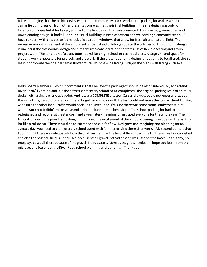It is encouraging that the architects listened to the community and reworked the parking lot and retained the camas field. Impression from other presentations was that the initial building in the site design was only for location purposes but it looks very similar to the first design that was presented. This is an ugly, uninspired and unwelcoming design. It looks like an industrial building instead of a warm and welcoming elementary school. A huge concern with this design is the lack of classroom windows that allow for fresh air and natural light. The excessive amount of cement at the school entrance instead of foliage adds to the coldness of this building design. It is unclear if the classrooms' design and size take into consideration the staff's use of flexible seating and group project work. The rendition of a classroom looks like a high school or technical class. A large sink and space for student work is necessary for projects and art work. If the present building design is not going to be altered, then at least incorporate the original camas flower mural (middle wing facing 30th)on the blank wall facing 29th Ave.

Hello Board Members, My first comment is that I believe the parking lot should be reconsidered. My son attends River Road/El Camino and it is the newest elementary school to be completed. The original parking lot had a similar design with a single entry/exit point. And it was a COMPLETE disaster. Cars and trucks could not enter and exit at the same time, cars would stall out there, large trucks or cars with trailers could not make the turn without turning wide into the other lane. Traffic would back up to River Road. I'm sure there was some traffic study that said it would work but it didn't make sense and didn't include human behavior. The school parking lot had to be redesigned and redone, at greater cost, and a year later - meaning it frustrated everyone for the whole year. The frustrations with the poor traffic design diminished the excitement of the school opening. Don't design the parking lot like a cul-de-sac. There should be an entrance and exit for flow. Designers are imagining and planning for an average day; you need to plan for a big school event with families driving there after work. My second point is that I don't think there was adequate follow through on planting the field at River Road. The turf never really established and also the baseball field is underused because small gravel instead of sand was used for the bases. To this day, no one plays baseball there because of the gravel like substrate. More oversight is needed. I hope you learn from the mistakes and lessons of the River Road school planning and building. Thank you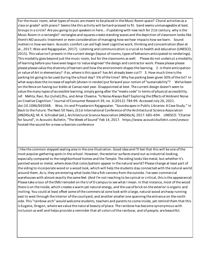For the music room, what types of music are meant to be placed in the Music Room space? Choral activities as a class or grade? with piano? Seems like this activity will be hard-pressed to fit. band seems unmanageable at best. Groups in a circle? Are you going to put speakers in here... if updating with new tech for 21st century, why is the Music Room in a rectangle? rectangles and squares create standing waves and the depiction of classroom looks like there's NO acoustic treatment or even consideration of managing how we hear impacts how we learn. Sound matters in how we learn. Acoustic comfort can aid high level cognitive work, thinking and concentration (Ravi et al., 2017; Woo and Rajagopalan, 2017). Listening and communication is crucial to health and education (UNESCO, 2015). This value isn't present in the current design (layout of rooms, types of behaviors anticipated to renderings). This modality goes beyond just the music room, but for the classrooms as well. Please do not undercut a modality of learning before you have even begun to 'value engineer' the design and contractor work. Please please please please please value the diversity of learners and how the environment shapes the learning. 2. Is there anticipation or value of Art in elementary? if so, where is this space? has Art already been cut?! 3. How much time is the parking lot going to be used during the school day? 5% of the time? Why has parking been given 30% of the lot? In what ways does the increase of asphalt (shown in render) put forward your notion of "sustainability"? We've been on the fence on having our kiddo at Camas next year. Disappointed at best. The current design doesn't seem to value the many types of accessible learning; simply going after the "meets code" in terms of physical accessibility. ref. Mehta, Ravi, Rui (Juliet) Zhu, and Amar Cheema. "Is Noise Always Bad? Exploring the Effects of Ambient Noise on Creative Cognition." Journal of Consumer Research 39, no. 4 (2012): 784-99. Accessed July 26, 2021. doi:10.1086/665048. Woo, Jin and Priyadarsini Rajagopalan. "Soundscapes in Public Libraries: A Case Study." in Back to the Future: The Next 50 Years, (51st International Conference of the Architectural Science Association (ANZAScA)), M. A. Schnabel (ed.), Architectural Science Association (ANZAScA), 2017: 685–694. UNESCO. "Charter for Sound", in Acoustic Bulletin, "The Week of Sound" Feb 14, 2017. https://www.acousticbulletin.com/unescohosted-the-sound-for-a-new-urbanism-conference

 I like the common stepped seating area in the one illustration. Good idea and I'll bet that this will be one ofthe most popular gathering spots in the school. However, the exterior surfaces stand out as industrial-looking, especially compared to the neighborhood homes and the Temple. The siding lookslike metal, but whether it's painted wood or metal, where doesthat color/pattern appear in the natural world? Please change at least part of the siding to incorporatewood or a wood look, which will help the studentsstay connected with the natural world around them. Asis, they are entering what lookslike a fish cannery from the outside. I've seen commercial warehouses with almost exactly the same feel. (And I'm not reaching to be cynical or critical, thisisthe appearance) Please take a tour of the EMU remodel on the U of O campus to see what I mean. In that instance, most of the wood there is on the inside, which creates a warm yet natural energy, and the use of brick on the exterior is organic and inviting. You could at least offset some ofthe commercial zone look with a large, natural wood archway running east to west through the interior of the courtyard, and another smaller one spanning the entrance on the north side. This "rainbow arch" would welcome students, teachers and parents to come inside, yet remind them that this is Eugene, Oregon, wherewe value the natural beauty of place. The rainbow has become synonymous with inclusion as well and helps provide a reminder that all colors ofthe rainbow, and of people, are beautiful.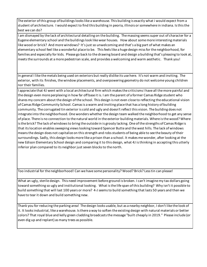The exterior of this group of buildings looks like a warehouse. This building is exactly what i would expect from a student of architecture. I would expect to find this building in peoria, illinois or somewhere in indiana. Is this the best we can do?

I am dismayed by the lack of architectural detailing on the building. The massing seems super out of character for a Eugene elementary school and the buildings look like wear houses. How about some more interesting materials like wood or brick? And more windows? It's just so unwelcoming and that's a big part of what makes an elementary school feel like a wonderful place to be. This feels like a huge design miss for the neighborhood, for families and especially for kids. Please go back to the drawing board and design a building that's pleasing to look at, meets the surrounds at a more pedestrian scale, and provides a welcoming and warm aesthetic. Thank you!

In general I like the metals being used on exteriors but really dislike its use here. It's not warm and inviting. The exterior, with its finishes, the window placements, and overpowering geometry do not welcome young children nor their families.

I appreciate that 4J went with a local architectural firm which makes the criticisms I have all the more painful and the design even more perplexing in how far off base it is. I am the parent of a former Camas Ridge student who shares my concern about the design of the school. This design is not even close to reflecting the educational vision of Camas Ridge Community School. Camas is a warm and inviting place that has a long history of building community. The corrugated tin exterior is cold and ugly and doesn't reflect this vision. The building does not integrate into the neighborhood. One wonders whether the design team walked the neighborhood to get any sense of place. There is no connection to the natural world in the exterior building materials. Where is the wood? Where is the brick? The lack of windows to bring the outside in is grossly lacking. One of the strengths of Camas Ridge is that its location enables sweeping views looking toward Spencer Butte and the west hills. The lack of windows means the design does not capitalize on this strength and robs students of being able to see the beauty of their surroundings. Sadly, this design looks more like a prison than a school. It makes me wonder, after looking at the new Edison Elementary School design and comparing it to this design, what 4J is thinking in accepting this utterly inferior plan compared to its neighbor just seven blocks to the north.

Too industrial for the neighborhood! Can we have some personality? Wood? Brick? Less tin can please!

What an ugly, sterile design. This need improvement before ground is broken. I can't imagine my tax dollars going toward something so ugly and institutional looking. What is the life span of this building? Why isn't it possible to build something that will last 100 years or more? 4-J seems to build something that lasts 50 years and then we have to tear it down and build something new.

Thank you for reducing the parking area! The design looks usable, but as a nearby neighbor, I don't like the look of it. It looks industrial, like a warehouse. Is there a way to soften the existing design with natural materials or better colors? That royal blue and kelly green cladding broadcasts the message "built cheaply in 2019." Please include (or even dig up and replant) as many trees as possible.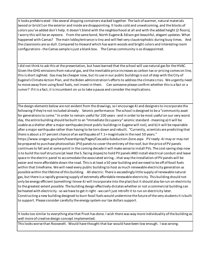It looks prefabricated - like several shipping containers stacked together. The lack of warmer, natural materials (wood or brick!) on the exterior and inside are disappointing. It looks cold and unwelcoming, and the blocks of colors you've added don't help. It doesn't blend with the neighborhood at all and with the added height (2 floors), I worry this will be an eyesore. From the same bond, North Eugene & Edison got beautiful, elegant updates. What happened with Camas? The main lobby/entrance is tiny and will feel very claustrophobic during busy times. And the classrooms are so dull. Compared to Howard which has warm woods and bright colors and interesting room configurations - the Camas sample is just a blank box. The Camas community is so disappointed.

I did not think to ask this at the presentation, but have learned that the school will use natural gas for the HVAC. Given the GHG emissions from natural gas, and the inevitable price increases as carbon tax or pricing comes on line, this is short sighted. Gas may be cheaper now, but its use in our public buildings is out of step with the City of Eugene's Climate Action Plan, and the Biden administration's efforts to address the climate crisis. We urgently need to move away from using fossil fuels, not invest in them. Can someone please confirm whether this is a fact or a rumor? If it is a fact, it is incumbent on us to take a pause and consider the implications.

The design elements below are not evident from the drawings, so I encourage 4J and designers to incorporate the following if they're not included already: Seismic performance: The school is designed to be a "community asset for generations to come." In order to remain useful for 100 years - and in order to be most useful on our very worst day, the entire building should be built to an "Immediate Occupancy" seismic standard - meaning a) it will be usable as a shelter after a major earthquake (most public buildings in Eugene will not), and b) it will be repairable after a major earthquake rather than having to be torn down and rebuilt. "Currently, scientists are predicting that there is about a 37 percent chance of an earthquake of 7.1+ magnitude in the next 50 years." https://www.oregon.gov/oem/hazardsprep/Pages/Cascadia-Subduction-Zone.aspx PV ready: 4J may or may not be prepared to purchase photovoltaic (PV) panels to cover the entirety of the roof, but the price of PV panels continues to fall and at some point in the coming decade it will make sense to install PVs. The cost-saving step now is to build the roof structure (at least the S. facing slopes) to hold PV panels AND install electrical conduit and leave space in the electric panel to accomodate the associated wiring...that way the installation of PV panels will be easier and more affordable down the road. This is at least a 50 year building and we need to be off of fossil fuels within that timeframe. We will need every public building to host as much renewable electricity generation as possible within the lifetime of this building. All electric: There is exceedingly little supply of renewable natural gas, but there is a rapidly growing supply of extremely affordable renewable electricity. This building should not only be energy efficient (something I know 4J will incorporate into the plan) but it should also be run on electricity to the greatest extent possible. The building design effectively dictates whether or not a commercial building can be heated with electricity - so we have to get it right - we can't just retrofit it to run on electricity later. Constructing a new building designed to burn fossil fuels would undermine the future of the very students it is built to support. Please consider carefully the energy system our tax dollars support.

It looks too similar to everything else that Pivot has done. I wish there was way more individuality of the building as well more of creative design concept implemented.

This looks worse than Roosevelt. Would have thought that bar would have been low enough. I was wrong.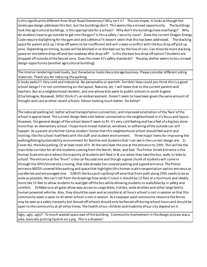Is this significantly different from River Road Elementary? Why isn't it? The site slopes. It looks as though the landscape design addresses this fact, but the buildings don't. This seems like a missed opportunity. The buildings look like agricultural buildings. Is this appropriate for a school? Why don't the buildings have overhangs? Why do students have to go outside to get into the gym? Is this a safety / security issue? Does the current Oregon Energy Code require daylighting for the gym and and cafeteria? It doesn't seem that this has been addressed. The stacking space for parent pick up / drop off seems to be insufficient and will create a conflict with the bus drop off pick up zone. Depending on timing, busses will be blocked in or blocked out by the line of cars. Can there be more stacking space on site before drop off and less roadway after drop off? Is this the best bus drop off option? Students are dropped off outside of the fenced zone. Does this meet 4J's safety standards? The play shelter seems to be a missed design opportunity (another agricultural building).

The interior renderings look lovely, but the exterior looks like a storage business. Please consider different siding materials. Thank you for reducing the parking.

It looks awful!!! Very cold and industrial. No personality or warmth. Terrible! How could you think this is a good school design? I'm not commenting on the layout, features, etc. I will leave that to the current parents and teachers. But as a neighborhood resident, and one whose kids went to public schools in south Eugene (Charlemagne, Roosevel, SHS) I think it's an embarrassment. Doesn't seem to have been given the same amount of thought and care as other recent schools. Edison looking much better. Do better!

The reduced parking lot, better active transportation connection, and improved orientation of the 'face' of the school is appreciated. The current design feels a bit better connected to the neighborhood in it's focus and layout. However, the general design of the school doesn't seem to fit. It's very cold feeling and has a feel of a big box store more than an elementary school. I hope more mixed material, windows, or softening of the outside can still happen. As a parent of a former Camas student I know that this neighborhood school should feel warm and inviting, like the school itself feels with the staff and student environment. Three major items for improving the walking/biking/sustainability environment for families and students that I can see in the current design are: 1) Cover ALL the bike parking. Or at least most of it. At the very least the one at the entrance to 29th. This will be the main bike corridor for all the students coming from the North, West, and East. The Potter Street Entrance is the Human Scale entrance where the majority of students will feed in & out when they take the bus, walk, or bike to school. The entrance at the "front" is the car focused one and though a good chunk of students will come in through the 30th/University crossing, that side already has covered parking and a good entrance. The Potter entrance NEEDS covered bike parking and space that highlights this human scale transportation option entrance as a preferred and encouraged one. 2)With the bus pick-up/drop-off zone that front path along 29th needs to be as wide as possible. We can't tell from the drawings how wide it is but it should be 12 foot at a minimum and ideally more like 15 feet to allow students to wait/get off the bus while allowing students to walk/bike by in safety and comfort. 3) Make sure all gates allow easy access to cargo bikes, trailers, wide strollers and other large family human powered vehicles. Also, they should be open and accessible at all hours school is not in session so that this community asset is open to all when school is not in session. As a taxpayer paid community resource the fences may be seen as a safety necessity but fenced off schools should only be fenced off during school hours and should be open to the community at all other times. The health of our children and livability of our city depend on it.

Ugly, ugly, ugly!! To much wasted space east of the building. Community involvement in the design process was a joke, basically putting lipstick on a pig. This is a disaster!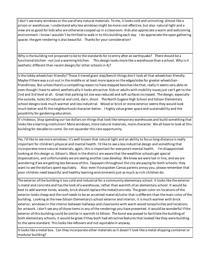I don't see many windows or the use of any natural materials. To me, it looks cold and uninviting- almost like a prison or warehouse. I understand why less windows might be more cost effective, but also- natural light and a view are so good for kids who are otherwise cooped up in a classroom. Kids also appreciate a warm and welcoming environment- I know I wouldn't be thrilled to walk in to this building each day. I do appreciate the open gathering spaces- the gym rendering is also beautiful. Thanks for your consideration!

Why is the building not proposed to be to the standards for re-entry after an earthquake? There should be a functional kitchen - not just a warming kitchen. This design looks more like a warehouse than a school. Why is it aesthetic different than recent designs for other schools in 4j?

Is the lobby wheelchair-friendly? Those 3-tiered giant step/bench-things don't look all that wheelchair friendly. Maybe if there was a cut-out in the middle or at least more space on the edges/sides for greater wheelchairfriendliness. But unless there's a compelling reason to have stepped benches like that, really it seems very able-ist even though I have to admit aesthetically it looks attractive. Kids or adults with mobility issues just can't get to the 2nd and 3rd level at all. Great that parking lot size was reduced and soft surfaces increased. The design, especially the outside, looks SO industrial and cold, darn, shoot. The North Eugene High School and Edison Elementary school designs look much warmer and less industrial. Wood or brick or stone exterior seems they would look much better and fit the neighborhood character better. I highly value green space and sustainability and the possibility for gardening education.

It's hideous. Stop spending our tax dollars on things that look like temporary warehouses and build something that looks like a learning institution! More windows, more natural materials, more character. We all have to look at this building for decades to come. Do not squander this rare opportunity.

Yes. I'd like to see more windows: it's well known that natural light and an ability to focus long-distance is really important for children's physical and mental health. I'd like to see a less industrial design and something that incorporates more natural materials; again, this is important for everyone's mental health. I'm disappointed looking at this design vs. Edison's. Most in the district are aware that the wealthier schools get special dispensations, and unfortunately we are seeing another case develop. We knew we were last in line, and we are wondering if we are getting less because of this. Taxpayers throughout the city are paying for both schools: they want to see the dollars spent equitably. Also: even if outspoken Camas parents annoy you, please remember that poor children need beautiful and healthy learning environments just as much as rich children do.

The exterior of the building it too cold and industrial for a community elementary school. It looks like the exterior is metal and concrete and has the look of a warehouse, rather than warmth of an elementary school. It would be best to add warmer tones, woods, brick should replace the metal/concrete. The green color on locations of the exterior looks cheap and the roof needs to be an accented material/color that is different than the main color of the building. Looking at the new Edison Elementary's school exterior and interior, it is much warmer with brick exterior, windows in the interior between hallways and classrooms with warm wood tones/niches and locations for artwork. I don't see any of those items in any of the renderings you have presented. It would be wonderful if the exterior of this building could be similar in warmth to Edison. The bond was passed to facilitate the building of both elementary schools, it would be great if they both had attractive features that looked like they were building to the same standard. This looks like leftovers and not equitable in anyway.

It looks like a metal box. Can they incorporate other materials so it doesn't look like a metal shipping container or modular building?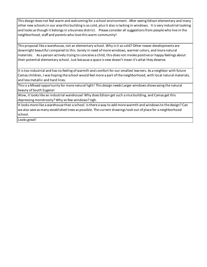This design does not feel warm and welcoming for a school environment. After seeing Edison elementary and many other new schools in our area this building is so cold, plus it also is lacking in windows. It is very industrial looking and looks as though it belongs in a business district. Please consider all suggestions from people who live in the neighborhood, staff and parents who love this warm community!

This proposal like a warehouse, not an elementary school. Why is it so cold? Other newer developments are downright beautiful compared to this. Sorely in need of more windows, warmer colors, and more natural materials. As a person actively trying to conceive a child, this does not invoke positive or happy feelings about their potential elementary school. Just because a space is new doesn't mean it's what they deserve.

It is too industrial and has no feeling of warmth and comfort for our smallest learners. As a neighbor with future Camas children, I was hoping the school would feel more a part of the neighborhood, with local natural materials, and less metallic and hard lines.

This is a MIssed opportunity for more natural light! This design needs Larger windows showcasing the natural beauty of South Eugene!

Wow, it looks like an industrial warehouse! Why does Edison get such a nice building, and Camas get this depressing monstrosity? Why so few windows? Ugh.

It looks more like a warehouse than a school. Is there a way to add more warmth and windows to the design? Can we also save as many established trees as possible. The current drawings look out of place for a neighborhood school.

Looks great!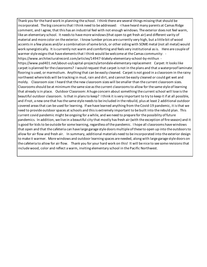Thank you for the hard work in planning the school. I think there are several things missing that should be incorporated. The big concerns that I think need to be addressed: -I have heard many parents at Camas Ridge comment, and I agree, that this has an industrial feel with not enough windows. The exterior does not feel warm, like an elementary school. It needs to have more windows (that open to get fresh air) and different varity of material and more color on the exterior. I know lumber prices are currently very high, but a little bit of wood accents in a few places and/or a combination of some brick, or other siding with SOME metal (not all metal) would work synergistically. It is currently not warm and comforting and feels very institutional as is. Here are couple of warmer style esigns that have elements that I think would be welcome at the Camas community: https://www.architecturalrecord.com/articles/14947-blakely-elementary-school-by-mithun https://www.psd401.net/about-us/capital-projects/artondale-elementary-replacement Carpet: It looks like carpet is planned for the classrooms? I would request that carpet is not in the plans and that a waterproof laminate flooring is used, or marmolium. Anything that can be easily cleaned. Carpet is not good in a classroom in the rainy northwest where kids will be tracking in mud, rain and dirt, and cannot be easily cleaned or could get wet and moldy. Classroom size: I heard that the new classroom sizes will be smaller than the current classroom sizes. Classrooms should be at minimum the same size as the current classrooms to allow for the same style of learning that already is in place. Outdoor Classroom: A huge concern about something the current school will lose is the beautiful outdoor classroom. Is that in plans to keep? I think it is very important to try to keep it if at all possible, and if not, a new one that has the same style needs to be included in the rebuild, plus at least 2 additional outdoor covered areas that can be used for learning. If we have learned anything from the Covid-19 pandemic, it is that we need to provide outdoor spaces at schools and this is extremely important to be built into the rebuld plan. This current covid pandemic might be ongoing for a while, and we need to prepare for the possiblity of future pandemics. In addition, we live in a beautiful city that mostly has fresh air (with the exception of fire season) and it is good for kids to be outside for some learning, regardless of the pandemic. I hope all classrooms have windows that open and that the cafeteria can have large garage style doors multiple of these to open up into the outdoors to allow for air flow and fresh air. In summary, additional materials need to be incorporated into the exterior design to make it warmer. More windows and outdoor learning spaces are needed, along with large garage style doors on the cafeteria to allow for air flow. Thank you for your hard work on this! It will be nice to see some revisions that include wood, color and reflect a warm, inviting elementary school in the Pacific Northwest.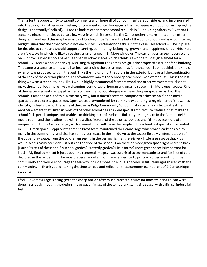Thanks for the opportunity to submit comments and I hope all of our comments are considered and incorporated into the design. (In other words, asking for comments once the design isfinalized seems a bit odd, so I'm hoping the design is not totally finalized). I took a look at other recent school rebuildsin 4J including others by Pivot and I see some nice similarities but also a few ways in which it seems like the Camas design is more limited than other designs. I have heard this may be an issue of funding since Camas is the last of the bond schools and is encountering budget issues that the other two did not encounter. I certainly hope this isn't the case. This school will be in place for decades to come and should support learning, community, belonging, growth, and happiness for our kids. Here are a few waysin which I'd like to see the design changed: 1 - Morewindows. The current design seems very scant on windows. Other schools have huge open window spaces which I think is a wonderful design element for a school. 2 - Morewood (or brick?). A striking thing about the Camas design is the proposed exterior ofthe building. This came as a surprise to me, who has been attending the design meetingsfor the school. I do not think this kind of exterior was proposed to usin the past. I like the inclusion ofthe colorsin the exterior but overall the combination ofthe look ofthe exterior plusthe lack of windowsmakesthe school appear more like a warehouse. Thisisthe last thing wewant a school to look like. I would highly recommend far morewood and other warmer materialsthat make the school look more like a welcoming, comfortable, human and organic space. 3 - More open spaces. One ofthe design elementsI enjoyed in many ofthe other school designs are thewide open spacesin parts ofthe schools. Camas has a bit ofthis in the entry way, but it doesn't seem to compare to other schools' open media spaces, open cafeteria spaces, etc. Open spaces arewonderful for community building, a key element ofthe Camas identity, indeed a part of the name of the Camas Ridge Community School. 4 - Special architectural features. Another element that I liked in most ofthe other school designs were special architectural featuresthat make the school feel special, unique, and usable. I'm thinking here ofthe beautiful story-telling space in the Camino del Rio media room, and the reading nooks in the walls of several of the other school designs. I'd like to see more of a unique touch to the Camas design, with elementsthat will make the people in the school feel special and invested in. 5 -Green space -I appreciate that the Pivot team maintained the Camasridgewhich was clearly desired by many in the community, and also hassome green space in the hill down to the soccer field. My interpretation of the upper play space, from the colors I am seeing in the designs, is that there is very little green space that kids would access easily each day just outside the door ofthe school. Can there bemore green space right near the back (Harris St) exit ofthe school? A school garden? Butterfly garden? Little forest? More green space isimportant for kids! My final comment is just about the rendered images. I was surprised to see few students and families of color depicted in the renderings. I believe it is very important for these renderingsto portray a diverse and inclusive community and would encourage the team to includemore individuals of color in future imagesshared with the community. Thank you for taking the time to read and reflect on these comments. (parent of 2 Camas Ridge students)

I feel like Camas Ridge is being given the cheap option after much nicer structures for Roosevelt and Edison were done. I seriously thought the design image was an image of the temporary swing site space, with a flimsy, industrial feel.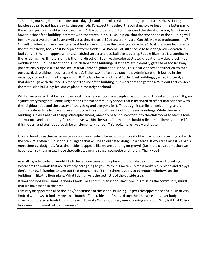1. Building massing should capture south daylight and control it. With this design proposal, the West-facing facades appear to not have daylighting controls, I'd expect this side of the building to overheat in the latter part of the school year (as the old school used to). 2. It would be helpful to understand the elevation along 30th Ave and how this side of the building interacts with the street. It looks like, in plan, that the service end of the building will be the view travelers into Eugene will get as they descend 30th toward Hilyard. Can this view be made appealing? Or, will it be fences, trucks and gates as it looks now? 3. Can the parking area reduce? Or, if it is intended to serve the athletic fields, too, can it be adjacent to the fields? 4. Baseball at 30th seems to be a dangerous location ie foul balls. 5. What happens when a scheduled soccer and baseball event overlap? Looks like there is a conflict in the rendering. 6. If metal siding is the final direction, I do like the color at strategic locations. Makes it feel like a middle school. 7. The front door is which side of the building? If at the West, the entry gate seems too far away (for security purposes). If at the East, as a walkable neighborhood school, this location seems antithetical to that purpose (kids walking though a parking lot). Either way, it feels as though the Administration is buried in the massing/ site and is in the background. 8. The facades remind me of Butler Steel buildings, yes, agricultural; and that does align with the recent history of the use of the building, but where are the gardens? Without that context, the metal clad buildings feel out of place in the neighborhood.

While I am pleased that Camas Ridge is getting a new school, I am deeply disappointed in the exterior design. It goes against everything that Camas Ridge stands for as a community school that is intended to reflect and connect with the neighborhood and the beauty of everything and everyone in it. This design is sterile, unwelcoming, and a complete departure from -- and an affront to -- the spirit of the school and its surroundings. While the current building is in dire need of an upgrade/replacement, one only needs to step foot into the classrooms to see the love and warmth and community-focus that lives within the walls. The exterior should reflect that. There is no need for this modern and sterile approach for an elementary school. This looks more like a warehouse.

I would love to see the design materials on the outside softened up a bit. I really like how Edison is turning out with the brick. We often build schools in Eugene that will be an outdated design in a decade. It would be nice if we had a more timeless design. As far as the inside, it appears like we are building for growth (i.e. more classrooms than we have now), so that's great. I love the dedicated music space, counselor and library. Thank you!

As a Fifth grade student I would like to have more trees on the playground for shade and for air and foresting. Where are the murals that are currently here going to go? Why is it metal? To me it looks really bland and stripy I don't like how it is going to turn out that much. I don't think there is going to be enough windows on the building. I like the floor plans. What I don't like is the aesthetic of the outside area.

It does not look like Camas. It doesn't look like a community school anymore. It is missing the community murals that we have made in the past.

I am very disappointed as to the look/appearance of the school building. It gives the appearance of a jail with very limited windows. It looks more like a bunch of "portable units" shoved together. Because 4-J is over budget on the already completed schools this is no reason to make Camas look very unwelcoming and cold. Why is it that Edison has a much more aesthetic appearance?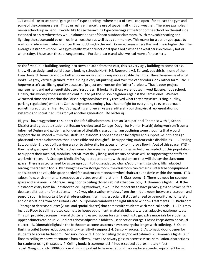1. I would like to see some "garage door" type openings--where most of a wall can open-- for at least the gym and some of the common areas. This can really enhance the use of space in all kinds of weather. There are examples in newer schools up in Bend. I would like to see the awning type coverings at the front of the school on the east side extended to a size where they would almost be a roof for an outdoor classroom. With moveable seating and lighting the space could be utilized in all weathers as well as by community. This makes for a patio type space to wait for a ride as well, which is nicer than huddling by the wall. Covered areas where the roof line is higher than the average classroom--more like a gym--really expand functional space both when the weather is extremely hot or when rainy. I have seen these arrangements in Portland parks and wish we had more of those here.

As the first public building coming into town on 30th from the east, this is a very ugly building to come across. I know 4j can design and build decent-looking schools (North HS, Roosevelt MS, Edison), but this isn't one of them. Even Howard Elementary looks better, so we know Pivot is way more capable than this. The extensive use of what looks like grey, vertical-grained, metal siding is very off-putting, and even the other colors look rather formulaic. I hope we aren't sacrificing quality because of project overruns on the "other" projects. That is poor project management and not an equitable use of resources. It looks like those warehouses in west Eugene, not a school. Finally, this whole process seems to continue to pit the Edison neighbors against the Camas ones. We have witnessed time and time that the Edison neighbors have easily received what they have asked (siting, quality, parking regulations) while the Camas neighbors seemingly have had to fight for everything to even approach something equitable. Frankly, it's disgusting and feels like we are literally building visual representations of systemic and social inequities for yet another generation. Do better 4j.

Hi, yes. I have suggestionsto support the Life Skills classroom. I am an Occupational Therapist with 4j School District and a graduate student at Boston Architectural College (Design for Human Health) doing work on Traumainformed Design and guidelines for design of Lifeskills classrooms. I am outlining some thoughts that would support the TiD model within the Lifeskills classroom. I hope these can be helpful and supportive in this design phase and create a classroom that is accessible and thoughtful in supporting students with disabilities. 1. Parking Lot, consider 2nd exit off parking area onto University for accessibility to improve flow in/out of this space. (TiD flow, safety/escape) 2. Life Skills classroom -there aremany important design features needed for this population to support their medical, mobility, activities of daily living, and sensory needs as well as supporting the staff that work with them. A. Storage: Medically fragile students comewith equipment that will clutter the classroom space. There is a strong need for a storage room to house adapted chairs/equipment, standers, lifts, adapted seating, therapeutic tools. By having the extra storage room, the classroom can remain clutter free of equipment and support the valuable space needed for studentsto maneuver wheelchairs around desks within the room. (TiD safety, flow, environmental stress due to clutter, overstimulation) B. Classroom: 1. There is a need for counter space and sink area, 2. Storage using floor to ceiling closed cabinets that can lock, 3. dimmable lights. 4. Ifthe classroom entry from hall hasfloor to ceiling windows, it would be important to have privacy glass on lower halfto decrease distractionsfor students. 4. 2 way observation windowsfrom themiddle room between classroom and sensory room is important for staff observations, trainings, especially if students need to be monitored for safety and observationsfrom consultants, etc. 5. Operablewindows and light filtered window treatments C. Bathroom - Storage to decrease clutter (visual and spatial clutter) that comes with students with medical needs. 1. . This may include Floor to ceiling closed cabinets to house equipment, materials (diapers, wipes, adaptive equipment, etc) This will provide decrease in visual clutter and ease of access for staff needing to get extra materials for students. upper cabinets can be us 2. Cabinets above adjustable table to use space or storage. Closed keeps down on visual clutter. 3. Dimmable lightsin the bathroom assome students have sensory challenges with toileting. 5. Quiet flushing toilet (noise reduction, auditory sensitivity support) 4. Sensory faucets. 5. Automatic door opener for students to access bathroom. Sensory Room: 1. Floor to ceiling closed/locked cabinets 2. Dimmable lights 3. If floor to ceiling windows at entrance from hallway, lower 1/2 privacy glassto decrease visual stimulation, distractions for students using thisspace. 4. Ceiling hooks(recommend 3-4 hooksspaced approximately 4 feet apart) Weight to hold 300# or more - this is important to have variations in access for suspended equipment being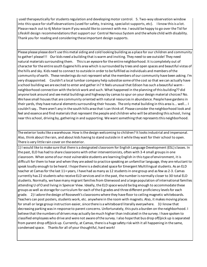used therapeutically for students regulation and developing motor control. 5. Two-way observation window into thisspace for staff observations(used for safety, training, specialist supports, etc). I know thisis a lot. Please reach out to 4j Motor team if you would like to connect with me. I would be happy to go over the Tid for Lifeskill design recommendationsthat support our Central Nervous System and thewhole child with disability. Thank you for reading and considering these important design supports.

Please please please don't use this metal siding and cold looking building as a place for our children and community to gather! please!!! Our kids need a building that is warm and inviting. They need to see outside! They need natural materials surrounding them. This is an eyesore for the entire neighborhood. It is completely out of character for the entire south Eugene hills area which is surrounded by trees and open spaces and beautiful vistas of the hills and sky. Kids need to connect to outside in order to be fulfilled as individuals and members of the community of earth. These renderings do not represent what the members of our community have been asking. I'm very disappointed. Couldn't a local lumbar company help subsidize some of the cost so that we can actually have a school building we are excited to enter and gather in? It feels unusual that Edison has such a beautiful warm neighborhood connection with the brick work and such. What happened in the planning of this building?? did anyone look around and see metal buildings and highways by camas to spur on your design material choices? No. We have small houses that are community oriented with natural resources in abundance. People have gardens in their yards, they have natural elements surrounding their houses. The only metal building in this area is... well... I couldn't say.. There aren't any in the south hills area that I can think of. Please consider the neighborhood look and feel and essence and find materials that represent the people and children who will be attending this school, living near this school, driving by, gathering in and supporting. We want something that represents this neighborhood.

The exterior looks like a warehouse. How is the design welcoming to children? It looks industrial and impersonal. Also, think about the rain, and about kids having to stand outside in it while they wait for their school to open. There is very little rain cover on the exterior.

1) I would like to make sure that there is a designated classroom for English Language Development (ESL) classes. In the past, ELD has had to share classrooms with other interventionists, often with 3-4 small groups in one classroom. When some of our most vulnerable students are learning English in this type of environment, it is difficult for them to hear and when they are asked to practice speaking an unfamiliar language, they are reluctant to speak loudly enough to be heard. I hope there is a dedicated space for Emergent Multilingual students. As an ELD teacher at Camas for the last 11+ years, I have had as many as 12 students in one group and as few as 2-3. Camas currently has 22 students who receive ELD services and in the past, the number is normally closer to 30 total ELD students. Normally, we have many migrant families from Glenwood and a large population of international families attending U of O and living in Spencer View. Ideally, the ELD space would be big enough to accommodate these groups as well as storage for curriculum for each of the 6 grades and three different proficiency levels for each grade. 2) I adore the design of Roosevelt's classrooms where they have floor to ceiling magnetic whiteboards. Teachers can post posters, students work, etc. anywhere in the room with magnets. Also, it makes moving places for small or large group instruction easier, since there is a whiteboard literally everywhere. 3) I know that decreasing parking was in response to parent concerns. Unfortunately, this puts a burden on the neighborhood. I believe that the numbers of drivers may actually be much higher than indicated in the survey. I have spoken to classified employees who drive and were not aware of the survey. I also hope that bus drop off/pick up is separated from parent drop off/pick up. Currently, at Camas, there is a huge safety risk with it all happening in the same, condensed space. Thanks for all of your thoughtful, hard work!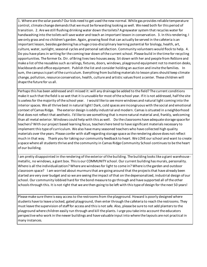1. Where are the solar panels? Our kids need to get used the new normal. While gas provides reliable temperature control, climate change demands that we must be forwarding looking as well. We need both for this period of transition. 2. Are we still flushing drinking water down the toilets? A greywater system that recycles water for handwashing into the toilets will save water and teach an important lesson in conservation. 3. In this rendering, I see only grass and no children's garden. Again, growing food that can actually be served in the cafeteria is an important lesson, besides gardening has a huge cross-disciplinary learning potential for biology, health, art, culture, water, sunlight, seasonal cycles and personal satisfaction. Community volunteers would flock to help. 4. Do you have plans in writing for the coming tear down of the current school. Please build in the time for recycling opportunities. The former Ex. Dir. of Bring lives two houses away. Sit down with her and people from ReStore and make a list of the reusables such as railings, fixtures, doors, windows, playground equipment not to mention desks, blackboards and office equipment. Publish the list and consider holding an auction and invite the families. In sum, the campus is part of the curriculum. Everything from building materials to lesson plans should keep climate change, pollution, resource conservation, health, culture and artistic values front a center. These children will shape the future for us all.

Perhaps this has been addressed and I missed it: will any drainage be added to the field? The current conditions make it such that the field is so wet that it is unusable for most of the school year. If it is not addressed, half the site is useless for the majority of the school year. I would like to see more windows and natural light coming into the interior spaces. We all thrive best in natural light! Dark, cold spaces are incongruous with the social and emotional context of Camas Ridge. The exterior design is oddly industrial and modern. Camas is situated in a neighborhood that does not reflect that aesthetic. I'd like to see something that is more natural material and, frankly, welcoming than all metal exterior. Windows could help with this as well. Do the classrooms have adequate storage space for teachers? With our project based learning focus, teachers here tend to have significant materials necessary to implement this type of curriculum. We also have many seasoned teachers who have collected high quality materials over the years. Please confer with staff regarding storage space as the rendering above does not reflect much in that way. Thank you for taking our community feedback to heart. We LOVE our school and want to create a space where all students thrive and the community in Camas Ridge Community School continues to be the heart of our building.

I am pretty disappointed in the rendering of the exterior of the building. The building looks like a giant warehouse metallic, no windows, a giant box. This is our COMMUNITY school. Our current building has murals, personality. Where is all the individualization? Where are windows for light to come in? Where is the garden and outdoor classroom space? I am worried about murmurs that are going around that the projects that have already been started are very over budget and so we are seeing the impact of that on the depersonalized, industrial design of our school. Our community lobbied hard for the bond measure to go through and have supported all of the other schools through this. It is not right that we are then going to be left with this type of design for the next 50 years!

Please make sure there is easy access to the restrooms from the playground. Howard is poorly designed where students have to leave a locked, gated playground, then enter through the cafeteria to reach the restrooms. They must leave the supervision of staff for access and this is not safe. Also, please be sure to not add planters to the playground where children easily run through and kill the plants. I urge you take into account the educators perspective who work in the newer buildings and have valuable input into where the layouts are not practical in many instances.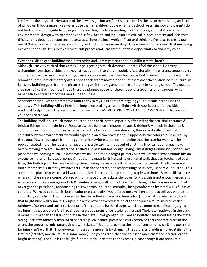I really like the physical orientation of the new design, but am frankly disturbed by the use of metal siding and lack of windows. It looks more like a warehouse than a neighborhood elementary school. As a neighbor and parent I do not look forward to regularly looking at this building much less sending my kids into a giant metal box for school. Environmental design with an emphasis on safety, health and inclusion are critical in development and I feel that this building does not encourage those values. I love the local work of Pivot and think they're ideas to create our newYMCA with an emphasis on community and inclusion are so exciting! I hope we can find come of that nurturing in a warmer design. I'm sure this is a difficult process and I am grateful for the opportunity to share my voice.

## Why does Edison get a building that is attractive and Camas gets one that looks like a metal barn?

Although I am very excited that Camas Ridge is getting a much-deserved update, I feel the school isn't very welcoming from the outside. It looks unattractive and like a large modular. Additionally, the entrance appears very cold rather than warm and welcoming. I am also concerned that the classrooms look situated for middle and high school children, not elementary age. I hope the desks are movable and that there are other options for furniture. As far as the building goes, from the pictures, the gym is the only area that feels like an elementary school. The outdoor area seems like it will be nice. I hope there is a planned space for the outdoor classroom and for gardens, which have been a central part of the Camas Ridge culture.

As a teacher that lives and breathes 8 hours a day in my classroom I am begging you to reconsider the lack of windows. This building will be here for a long time, making a natural light switch now is better for the kids, electrical footprint and the learning environment. PLEASE ADD WINDOWS TO ALL CLASSROOMS! Thank you for your consideration!

The building itself looks much more industrial than anticipated, especially after seeing the beautiful entrance & brick at Edison, and the design at Roosevelt with a balance of modern shapes & design & warmth in the brick & color choices. The color choices in particular at the Camas build are shocking, they do not reflect the bright, colorful & warm environment we would expect in an elementary school. Supposedly the colors are "inspired" by the camas flower, but apart from the gym that is nowhere to be seen. Knowing that the exterior walls will be powder coated metal, hence unchangeable is heartbreaking. I hope out of anything they can be changed now, before moving forward. The entrance is called a "plaza" but has no sign saying Camas Ridge Community School, not place for a welcoming mural, instead we have an unpaintable bright primary blue wall made of what sounds like an expensive material. Lets save money & not use the material & instead have a mural wall, that can be changed over time, this building will be here for a long time, having spaces where it can adapt & change with the times makes much more sense. Currently we have art tiles in the concrete, and leaf pressings so its not just bare & industrial, this seems like a place that we can add warmth, make it look less like a plumbing supply warehouse & more like a place where children are welcome. We also will only have 6 bike racks under cover for kids, this is not enough, especially when we want to encourage our kids & families to ride, walk, or roll to school. Imagine being a kinder who had never gone to preschool, approaching this two story industrial complex, being confronted by metal walls & lots of concrete. We need to soften it, better color choices (truly if you offered me a million dollars to tell you where the color story came from, I would never say the Camas flower based on these colors), more natural elements (ditch that bright blue wall & make it purple, make the lower covered section at the entrance a mural instead with a rainbow of colors), and softer surfaces (all of the concrete has hard edges which as a mom scream head injury), can we imprint shapes/colors/art into the concrete at the entrance, use brick instead? The brown pathway in the back is more inviting then the stark concrete in the plaza. Not going to lie, I was absolutely devastated seeing the metal siding, lack of windows & amount of concrete (even inside!! please for safety removed that concrete piece in the entry, the amount of micromanaging it will take staff & parents to keep their kids from jumping off & the potential for injury isn't worth it). I hope we can infuse some more life by changing the colors, and adding more details to the features (art tiles, mosaic, murals, some wood). The greens are either too cold (the main entrance interior) or too bright (exterior), the blue is too bright & completely unrelated to the Camas, please change it out for purple.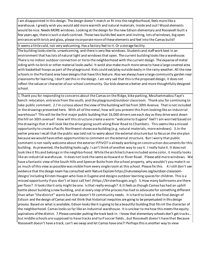I am disappointed in this design. The design doesn't match or fit into the neighborhood, feels more like a warehouse. I greatly wish you would add more warmth and natural materials. Inside and out! Wood elements would be nice. Needs MORE windows. Looking at the design for the new Edison elementary and Roosevelt built a few years ago, there is such a stark contrast. Those two builds feel warm and inviting, lots of windows, big open entrances with brick and glass, please incorporate more of these elements and feel into the Camas build!

It seems a little cold, not very welcoming. Has a factory feel to it. Or a storage facility.

The building looks sterile, unwelcoming, and there is very few windows. Students and staff work best in an environment that has lots of natural light and windows that open. The current building looks like a warehouse. There is no indoor outdoor connection or tie to the neighborhood with the current design. The expanse of metal siding with no brick or other material looks awful. It wold also make much more sense to have a large covered area with basketball hoops as part of the playground. Kids could eat/play outside easily in the rainy weather. All the new schools in the Portland area have designs that have this feature. Also we always have a large community garden near classrooms for learning, I don't see this in the design. I am very sad that this is the proposed design, it does not reflect the values or character of our school community. Our kids deserve a better and more thoughtfully designed school.

1.Thank you for responding to concerns about the Camas on the Ridge, bike parking, Mouhammadou Faye's bench relocation, entrance from the south, and the playground/outdoor classroom. Thank you for continuing to take public comment. 2.I'm curious about the view ofthe building will be from 30th Avenue. That is not included in the drawings presented here. With all ofthemetal, how will you prevent thisfrom looking like an industrial warehouse? This will be the first major public building that 16,000 driverssee each day asthey drivewest down the hill on 30th avenue? How will thisstructure create a warm "welcome to Eugene" feel? I am worried based on the drawingsthat it will look like the drive going south along River Road to Chambers. Thisseemslike amissed opportunity to create a Pacific Northwest showcase building (e.g. natural materials, morewindows). 3.In the earlier process I recall that the public was told not to worry about the external structure but to focus on the site plan because we would have other opportunities to comment on the external structure. But I worry that public comment is not really welcome about the exterior if PIVOT is already working on construction documentsfor this building. As presented, the building looks ugly. I can't think of another way to say it. I really hate it. It does not look like it fits and belongsin the neighborhood. While the architects have included some color, it mostly looks like an industrial warehouse. It does not look the same as Howard or River Road. Please add more windows. We have a fantastic view ofthe South Hills and Spencer Butte from the school property, why wouldn't you make it so as much of this view as possible was visible from every single room at this school. Please fix this. 4.I still don't see evidence that the design team has consulted with Nature Explore https://natureexplore.org/outdoor-classroomdesign/including Kirsten Haugen who lives in Eugene and designs outdoor learning spaces for children. This is a missed opportunity if you don't at least call her! (https://kirstenhaugen.org/) 5.How many bathrooms are there per floor? It lookslike it only might be one. Isthat really enough? 6.It feels asthough Camas has had an uphill battle about building a new building, and at every step ofthe process has had to advocate for something different than what "the district" wants but that doesn't fit community needs. It is hard to look at the final design of Edison and the design of Camas and not think that historical inequities are going to be perpetuated in this design process. Based on what is available, Edison lookslike it is going to be a beautiful building that fitsint the character of the neighborhood. Camaslooksso far like an industrial warehouse. It is unclear to me how thismeetsthe equity aspirations ofthe district. 7.Please consider putting the track back in. I know that elementary schools don't get tracks… but middle schools are supposed to have tracks and turfsoccer fields…but Roosevelt doesn't have that Because Roosevelt doesn't have a track, can't we swap and let Camas have one?! Perhapsthisis another way to view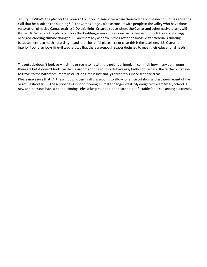equity. 8.What'sthe plan for the murals? Could you please show where these will be on the next building rendering. Will that help soften the building? 9.The Camas Ridge…please consult with people in the valley who have done restoration of native Camas prairies! Do thisright. Create a spacewhere the Camas and other native plants will thrive. 10.What are the plansto make this building green and responsive to the next 50 to 100 years of energy needs considering climate change? 11. Are there any window in the Cafeteria? Roosevelt's cafeteria is amazing because there isso much natural light and it is a beautiful place. It's not clear thisisthe case here. 12. Overall the interior floor plan looks fine--if teachers say that there are enough spaces designed to meet their educational needs.

The outside doesn't look very inviting or seem to fit with the neighborhood. I can't tell how many bathrooms there are but it doesn't look like thr classrooms on the south side have easy bathroom access. The farther kids have to travel to the bathroom, more instruction time is lost and iys harder to supervise those areas.

Please make sure that A: the windows open in all classrooms to allow for air circulation and escape in event of fire or active shooter B: the school has Air Conditioning. Climate change is real. My daughter's elementary school is new and does not have air conditioning. Please keep students and teachers confortable for best learning outcomes.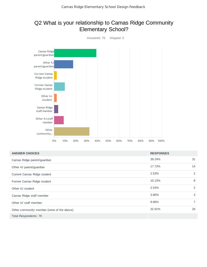## Q2 What is your relationship to Camas Ridge Community Elementary School?



| <b>ANSWER CHOICES</b>                      | <b>RESPONSES</b> |                |
|--------------------------------------------|------------------|----------------|
| Camas Ridge parent/guardian                | 39.24%           | 31             |
| Other 4J parent/guardian                   | 17.72%           | 14             |
| Current Camas Ridge student                | 2.53%            | 2              |
| Former Camas Ridge student                 | 10.13%           | 8              |
| Other 4J student                           | 2.53%            | 2              |
| Camas Ridge staff member                   | 3.80%            | 3              |
| Other 4J staff member                      | 8.86%            | $\overline{7}$ |
| Other community member (none of the above) | 32.91%           | 26             |
| Total Respondents: 79                      |                  |                |